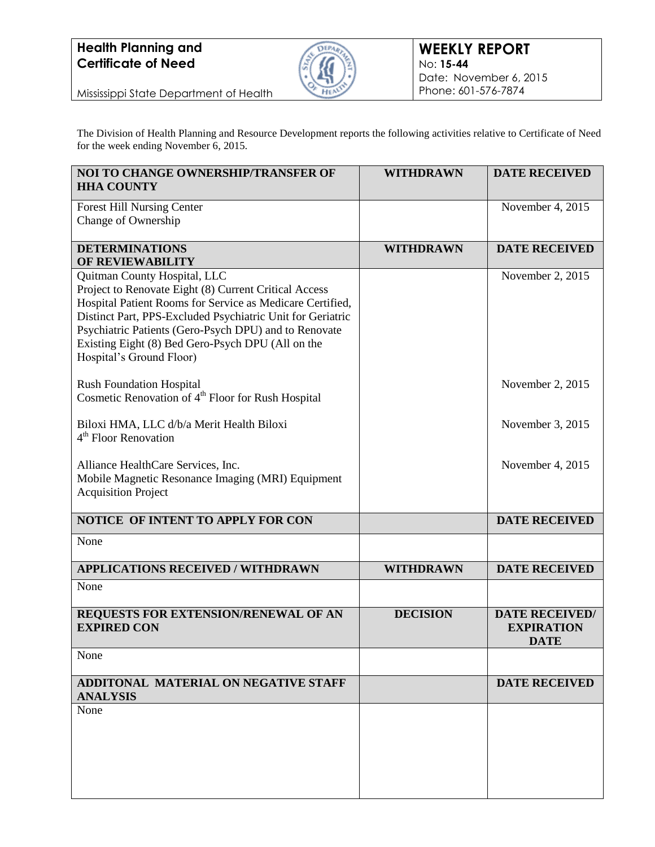## **Health Planning and Certificate of Need**



Mississippi State Department of Health

The Division of Health Planning and Resource Development reports the following activities relative to Certificate of Need for the week ending November 6, 2015.

| <b>NOI TO CHANGE OWNERSHIP/TRANSFER OF</b><br><b>HHA COUNTY</b>                                                                                                                                                                                                                                                                                            | <b>WITHDRAWN</b> | <b>DATE RECEIVED</b>                                      |
|------------------------------------------------------------------------------------------------------------------------------------------------------------------------------------------------------------------------------------------------------------------------------------------------------------------------------------------------------------|------------------|-----------------------------------------------------------|
| <b>Forest Hill Nursing Center</b><br>Change of Ownership                                                                                                                                                                                                                                                                                                   |                  | November 4, 2015                                          |
| <b>DETERMINATIONS</b><br>OF REVIEWABILITY                                                                                                                                                                                                                                                                                                                  | <b>WITHDRAWN</b> | <b>DATE RECEIVED</b>                                      |
| Quitman County Hospital, LLC<br>Project to Renovate Eight (8) Current Critical Access<br>Hospital Patient Rooms for Service as Medicare Certified,<br>Distinct Part, PPS-Excluded Psychiatric Unit for Geriatric<br>Psychiatric Patients (Gero-Psych DPU) and to Renovate<br>Existing Eight (8) Bed Gero-Psych DPU (All on the<br>Hospital's Ground Floor) |                  | November 2, 2015                                          |
| <b>Rush Foundation Hospital</b><br>Cosmetic Renovation of 4 <sup>th</sup> Floor for Rush Hospital                                                                                                                                                                                                                                                          |                  | November 2, 2015                                          |
| Biloxi HMA, LLC d/b/a Merit Health Biloxi<br>4 <sup>th</sup> Floor Renovation                                                                                                                                                                                                                                                                              |                  | November 3, 2015                                          |
| Alliance HealthCare Services, Inc.<br>Mobile Magnetic Resonance Imaging (MRI) Equipment<br><b>Acquisition Project</b>                                                                                                                                                                                                                                      |                  | November 4, 2015                                          |
| NOTICE OF INTENT TO APPLY FOR CON                                                                                                                                                                                                                                                                                                                          |                  | <b>DATE RECEIVED</b>                                      |
| None                                                                                                                                                                                                                                                                                                                                                       |                  |                                                           |
| <b>APPLICATIONS RECEIVED / WITHDRAWN</b>                                                                                                                                                                                                                                                                                                                   | <b>WITHDRAWN</b> | <b>DATE RECEIVED</b>                                      |
| None                                                                                                                                                                                                                                                                                                                                                       |                  |                                                           |
| REQUESTS FOR EXTENSION/RENEWAL OF AN<br><b>EXPIRED CON</b>                                                                                                                                                                                                                                                                                                 | <b>DECISION</b>  | <b>DATE RECEIVED/</b><br><b>EXPIRATION</b><br><b>DATE</b> |
| None                                                                                                                                                                                                                                                                                                                                                       |                  |                                                           |
| ADDITONAL MATERIAL ON NEGATIVE STAFF<br><b>ANALYSIS</b>                                                                                                                                                                                                                                                                                                    |                  | <b>DATE RECEIVED</b>                                      |
| None                                                                                                                                                                                                                                                                                                                                                       |                  |                                                           |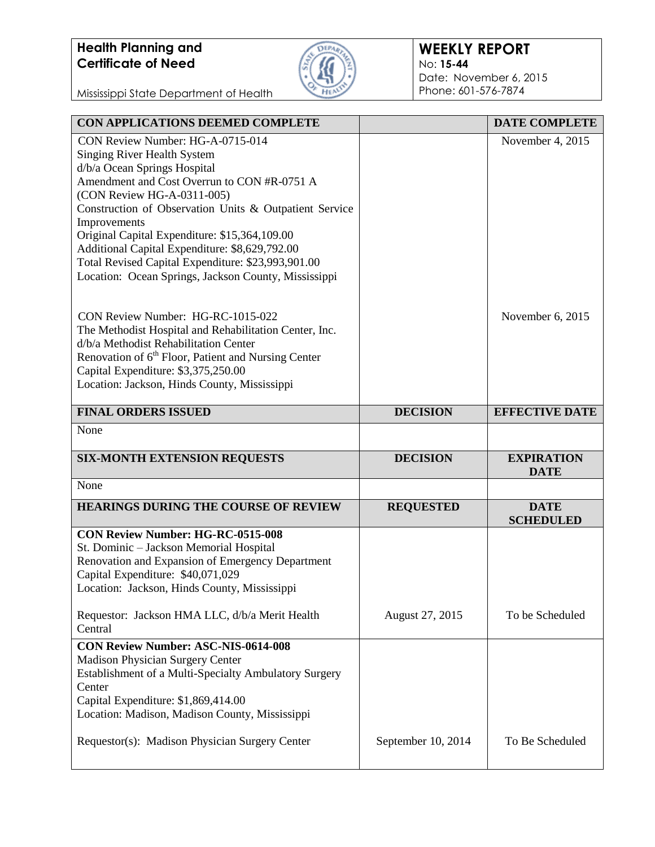## **Health Planning and Certificate of Need**



## **WEEKLY REPORT** No: **15-44** Date: November 6, 2015 Phone: 601-576-7874

Mississippi State Department of Health

| CON APPLICATIONS DEEMED COMPLETE                                                                                                                                                                                                                                                               |                  | <b>DATE COMPLETE</b>             |
|------------------------------------------------------------------------------------------------------------------------------------------------------------------------------------------------------------------------------------------------------------------------------------------------|------------------|----------------------------------|
| CON Review Number: HG-A-0715-014<br>Singing River Health System<br>d/b/a Ocean Springs Hospital<br>Amendment and Cost Overrun to CON #R-0751 A<br>(CON Review HG-A-0311-005)<br>Construction of Observation Units & Outpatient Service                                                         |                  | November 4, 2015                 |
| Improvements<br>Original Capital Expenditure: \$15,364,109.00<br>Additional Capital Expenditure: \$8,629,792.00<br>Total Revised Capital Expenditure: \$23,993,901.00<br>Location: Ocean Springs, Jackson County, Mississippi                                                                  |                  |                                  |
| CON Review Number: HG-RC-1015-022<br>The Methodist Hospital and Rehabilitation Center, Inc.<br>d/b/a Methodist Rehabilitation Center<br>Renovation of 6 <sup>th</sup> Floor, Patient and Nursing Center<br>Capital Expenditure: \$3,375,250.00<br>Location: Jackson, Hinds County, Mississippi |                  | November 6, 2015                 |
| <b>FINAL ORDERS ISSUED</b>                                                                                                                                                                                                                                                                     | <b>DECISION</b>  | <b>EFFECTIVE DATE</b>            |
| None                                                                                                                                                                                                                                                                                           |                  |                                  |
| <b>SIX-MONTH EXTENSION REQUESTS</b>                                                                                                                                                                                                                                                            | <b>DECISION</b>  | <b>EXPIRATION</b><br><b>DATE</b> |
| None                                                                                                                                                                                                                                                                                           |                  |                                  |
| HEARINGS DURING THE COURSE OF REVIEW                                                                                                                                                                                                                                                           | <b>REQUESTED</b> | <b>DATE</b><br><b>SCHEDULED</b>  |
| <b>CON Review Number: HG-RC-0515-008</b><br>St. Dominic - Jackson Memorial Hospital<br>Renovation and Expansion of Emergency Department<br>Capital Expenditure: \$40,071,029<br>Location: Jackson, Hinds County, Mississippi                                                                   |                  |                                  |
| Requestor: Jackson HMA LLC, d/b/a Merit Health<br>Central                                                                                                                                                                                                                                      | August 27, 2015  | To be Scheduled                  |
| <b>CON Review Number: ASC-NIS-0614-008</b><br><b>Madison Physician Surgery Center</b><br>Establishment of a Multi-Specialty Ambulatory Surgery<br>Center<br>Capital Expenditure: \$1,869,414.00                                                                                                |                  |                                  |
| Location: Madison, Madison County, Mississippi                                                                                                                                                                                                                                                 |                  |                                  |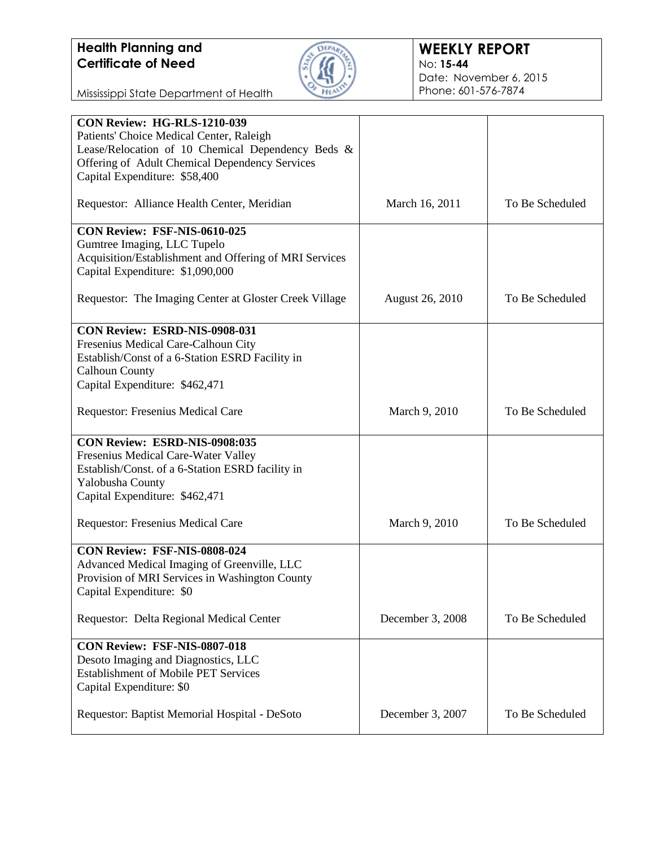

Mississippi State Department of Health

| <b>CON Review: HG-RLS-1210-039</b>                     |                        |                 |
|--------------------------------------------------------|------------------------|-----------------|
| Patients' Choice Medical Center, Raleigh               |                        |                 |
| Lease/Relocation of 10 Chemical Dependency Beds &      |                        |                 |
| Offering of Adult Chemical Dependency Services         |                        |                 |
|                                                        |                        |                 |
| Capital Expenditure: \$58,400                          |                        |                 |
|                                                        |                        |                 |
| Requestor: Alliance Health Center, Meridian            | March 16, 2011         | To Be Scheduled |
| CON Review: FSF-NIS-0610-025                           |                        |                 |
|                                                        |                        |                 |
| Gumtree Imaging, LLC Tupelo                            |                        |                 |
| Acquisition/Establishment and Offering of MRI Services |                        |                 |
| Capital Expenditure: \$1,090,000                       |                        |                 |
|                                                        |                        |                 |
| Requestor: The Imaging Center at Gloster Creek Village | <b>August 26, 2010</b> | To Be Scheduled |
|                                                        |                        |                 |
| <b>CON Review: ESRD-NIS-0908-031</b>                   |                        |                 |
| Fresenius Medical Care-Calhoun City                    |                        |                 |
|                                                        |                        |                 |
| Establish/Const of a 6-Station ESRD Facility in        |                        |                 |
| <b>Calhoun County</b>                                  |                        |                 |
| Capital Expenditure: \$462,471                         |                        |                 |
|                                                        |                        |                 |
| <b>Requestor: Fresenius Medical Care</b>               | March 9, 2010          | To Be Scheduled |
|                                                        |                        |                 |
| CON Review: ESRD-NIS-0908:035                          |                        |                 |
| Fresenius Medical Care-Water Valley                    |                        |                 |
|                                                        |                        |                 |
| Establish/Const. of a 6-Station ESRD facility in       |                        |                 |
| Yalobusha County                                       |                        |                 |
| Capital Expenditure: \$462,471                         |                        |                 |
|                                                        |                        |                 |
| Requestor: Fresenius Medical Care                      | March 9, 2010          | To Be Scheduled |
|                                                        |                        |                 |
| CON Review: FSF-NIS-0808-024                           |                        |                 |
| Advanced Medical Imaging of Greenville, LLC            |                        |                 |
| Provision of MRI Services in Washington County         |                        |                 |
|                                                        |                        |                 |
| Capital Expenditure: \$0                               |                        |                 |
| Requestor: Delta Regional Medical Center               | December 3, 2008       | To Be Scheduled |
|                                                        |                        |                 |
| <b>CON Review: FSF-NIS-0807-018</b>                    |                        |                 |
| Desoto Imaging and Diagnostics, LLC                    |                        |                 |
|                                                        |                        |                 |
| <b>Establishment of Mobile PET Services</b>            |                        |                 |
| Capital Expenditure: \$0                               |                        |                 |
|                                                        |                        |                 |
| Requestor: Baptist Memorial Hospital - DeSoto          | December 3, 2007       | To Be Scheduled |
|                                                        |                        |                 |